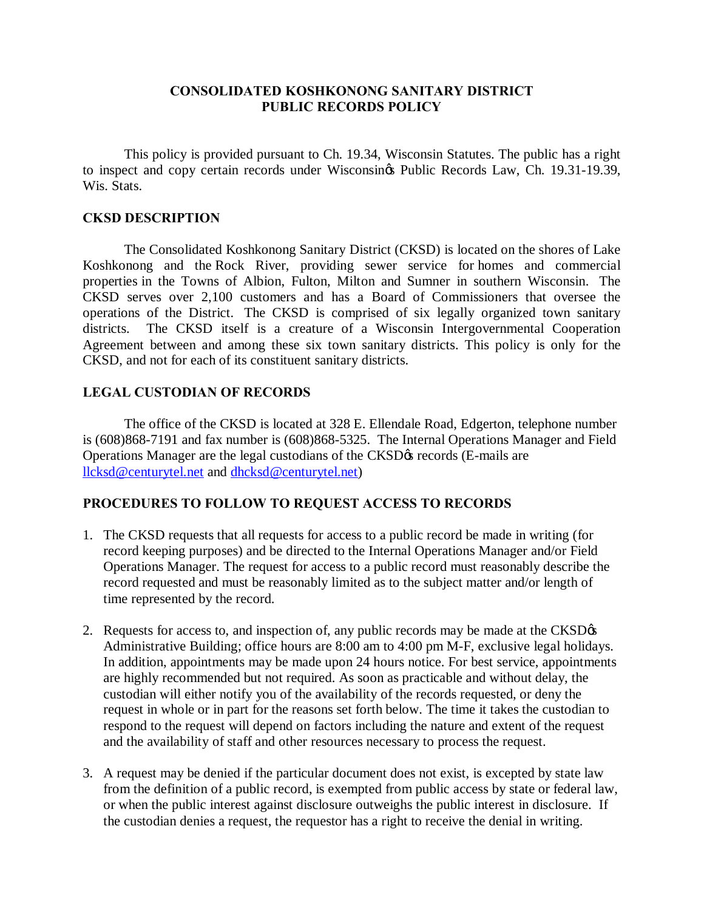## **CONSOLIDATED KOSHKONONG SANITARY DISTRICT PUBLIC RECORDS POLICY**

This policy is provided pursuant to Ch. 19.34, Wisconsin Statutes. The public has a right to inspect and copy certain records under Wisconsings Public Records Law, Ch. 19.31-19.39, Wis. Stats.

# **CKSD DESCRIPTION**

The Consolidated Koshkonong Sanitary District (CKSD) is located on the shores of Lake Koshkonong and the Rock River, providing sewer service for homes and commercial properties in the Towns of Albion, Fulton, Milton and Sumner in southern Wisconsin. The CKSD serves over 2,100 customers and has a Board of Commissioners that oversee the operations of the District. The CKSD is comprised of six legally organized town sanitary districts. The CKSD itself is a creature of a Wisconsin Intergovernmental Cooperation Agreement between and among these six town sanitary districts. This policy is only for the CKSD, and not for each of its constituent sanitary districts.

#### **LEGAL CUSTODIAN OF RECORDS**

The office of the CKSD is located at 328 E. Ellendale Road, Edgerton, telephone number is (608)868-7191 and fax number is (608)868-5325. The Internal Operations Manager and Field Operations Manager are the legal custodians of the CKSD $\alpha$  records (E-mails are [llcksd@centurytel.net](mailto:llcksd@centurytel.net) and [dhcksd@centurytel.net\)](mailto:dhcksd@centurytel.net)

# **PROCEDURES TO FOLLOW TO REQUEST ACCESS TO RECORDS**

- 1. The CKSD requests that all requests for access to a public record be made in writing (for record keeping purposes) and be directed to the Internal Operations Manager and/or Field Operations Manager. The request for access to a public record must reasonably describe the record requested and must be reasonably limited as to the subject matter and/or length of time represented by the record.
- 2. Requests for access to, and inspection of, any public records may be made at the CKSD $\alpha$ Administrative Building; office hours are 8:00 am to 4:00 pm M-F, exclusive legal holidays. In addition, appointments may be made upon 24 hours notice. For best service, appointments are highly recommended but not required. As soon as practicable and without delay, the custodian will either notify you of the availability of the records requested, or deny the request in whole or in part for the reasons set forth below. The time it takes the custodian to respond to the request will depend on factors including the nature and extent of the request and the availability of staff and other resources necessary to process the request.
- 3. A request may be denied if the particular document does not exist, is excepted by state law from the definition of a public record, is exempted from public access by state or federal law, or when the public interest against disclosure outweighs the public interest in disclosure. If the custodian denies a request, the requestor has a right to receive the denial in writing.